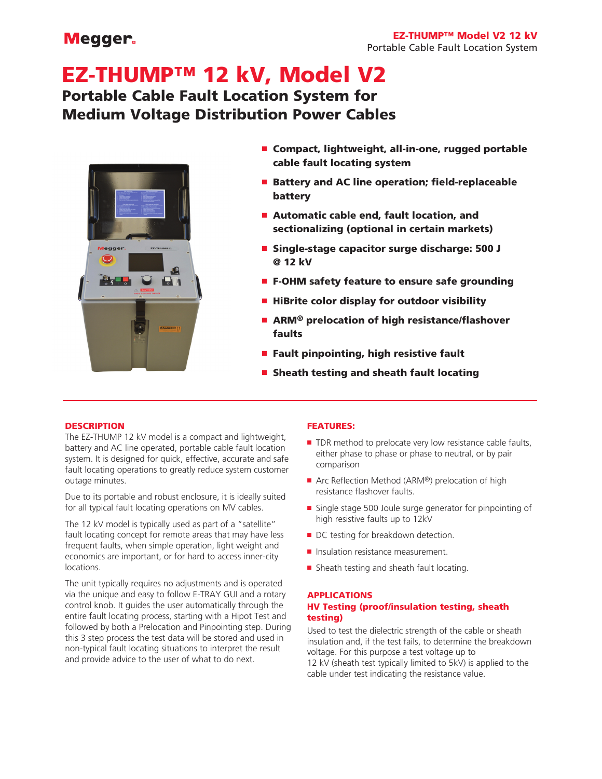## **Megger**

# EZ-THUMP™ 12 kV, Model V2 Portable Cable Fault Location System for Medium Voltage Distribution Power Cables



- Compact, lightweight, all-in-one, rugged portable cable fault locating system
- Battery and AC line operation; field-replaceable battery
- Automatic cable end, fault location, and sectionalizing (optional in certain markets)
- Single-stage capacitor surge discharge: 500 J @ 12 kV
- F-OHM safety feature to ensure safe grounding
- HiBrite color display for outdoor visibility
- ARM<sup>®</sup> prelocation of high resistance/flashover faults
- Fault pinpointing, high resistive fault
- Sheath testing and sheath fault locating

## **DESCRIPTION**

The EZ-THUMP 12 kV model is a compact and lightweight, battery and AC line operated, portable cable fault location system. It is designed for quick, effective, accurate and safe fault locating operations to greatly reduce system customer outage minutes.

Due to its portable and robust enclosure, it is ideally suited for all typical fault locating operations on MV cables.

The 12 kV model is typically used as part of a "satellite" fault locating concept for remote areas that may have less frequent faults, when simple operation, light weight and economics are important, or for hard to access inner-city locations.

The unit typically requires no adjustments and is operated via the unique and easy to follow E-TRAY GUI and a rotary control knob. It guides the user automatically through the entire fault locating process, starting with a Hipot Test and followed by both a Prelocation and Pinpointing step. During this 3 step process the test data will be stored and used in non-typical fault locating situations to interpret the result and provide advice to the user of what to do next.

## FEATURES:

- TDR method to prelocate very low resistance cable faults, either phase to phase or phase to neutral, or by pair comparison
- Arc Reflection Method (ARM®) prelocation of high resistance flashover faults.
- Single stage 500 Joule surge generator for pinpointing of high resistive faults up to 12kV
- DC testing for breakdown detection.
- Insulation resistance measurement.
- Sheath testing and sheath fault locating.

## APPLICATIONS

## HV Testing (proof/insulation testing, sheath testing)

Used to test the dielectric strength of the cable or sheath insulation and, if the test fails, to determine the breakdown voltage. For this purpose a test voltage up to 12 kV (sheath test typically limited to 5kV) is applied to the cable under test indicating the resistance value.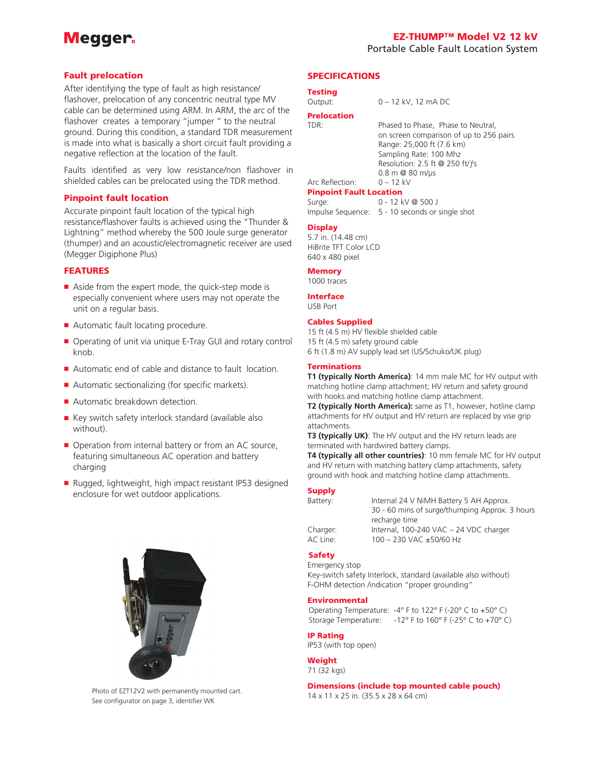## Megger.

### Fault prelocation

After identifying the type of fault as high resistance/ flashover, prelocation of any concentric neutral type MV cable can be determined using ARM. In ARM, the arc of the flashover creates a temporary "jumper " to the neutral ground. During this condition, a standard TDR measurement is made into what is basically a short circuit fault providing a negative reflection at the location of the fault.

Faults identified as very low resistance/non flashover in shielded cables can be prelocated using the TDR method.

### Pinpoint fault location

Accurate pinpoint fault location of the typical high resistance/flashover faults is achieved using the "Thunder & Lightning" method whereby the 500 Joule surge generator (thumper) and an acoustic/electromagnetic receiver are used (Megger Digiphone Plus)

### FEATURES

- Aside from the expert mode, the quick-step mode is especially convenient where users may not operate the unit on a regular basis.
- Automatic fault locating procedure.
- Operating of unit via unique E-Tray GUI and rotary control knob.
- Automatic end of cable and distance to fault location.
- Automatic sectionalizing (for specific markets).
- Automatic breakdown detection.
- Key switch safety interlock standard (available also without).
- Operation from internal battery or from an AC source, featuring simultaneous AC operation and battery charging
- Rugged, lightweight, high impact resistant IP53 designed enclosure for wet outdoor applications.



Photo of EZT12V2 with permanently mounted cart. See configurator on page 3, identifier WK

## SPECIFICATIONS

#### Testing

## **Prelocation**<br>TDR:

Phased to Phase, Phase to Neutral, on screen comparison of up to 256 pairs Range: 25,000 ft (7.6 km) Sampling Rate: 100 Mhz Resolution: 2.5 ft @ 250 ft/ƒs 0.8 m @ 80 m/µs

#### Arc Reflection: 0 – 12 kV Pinpoint Fault Location

Surge: 0 - 12 kV @ 500 J Impulse Sequence: 5 - 10 seconds or single shot

## **Display**

5.7 in. (14.48 cm) HiBrite TFT Color LCD 640 x 480 pixel

#### **Memory**

1000 traces

Interface USB Port

#### Cables Supplied

15 ft (4.5 m) HV flexible shielded cable 15 ft (4.5 m) safety ground cable 6 ft (1.8 m) AV supply lead set (US/Schuko/UK plug)

#### Terminations

**T1 (typically North America)**: 14 mm male MC for HV output with matching hotline clamp attachment; HV return and safety ground with hooks and matching hotline clamp attachment.

**T2 (typically North America):** same as T1, however, hotline clamp attachments for HV output and HV return are replaced by vise grip attachments.

**T3 (typically UK)**: The HV output and the HV return leads are terminated with hardwired battery clamps.

**T4 (typically all other countries)**: 10 mm female MC for HV output and HV return with matching battery clamp attachments, safety ground with hook and matching hotline clamp attachments.

### **Supply**

| Battery: | Internal 24 V NiMH Battery 5 AH Approx.        |  |  |
|----------|------------------------------------------------|--|--|
|          | 30 - 60 mins of surge/thumping Approx. 3 hours |  |  |
|          | recharge time                                  |  |  |
| Charger: | Internal, 100-240 VAC - 24 VDC charger         |  |  |
| AC Line: | $100 - 230$ VAC $\pm$ 50/60 Hz                 |  |  |
|          |                                                |  |  |

## Safety

Emergency stop Key-switch safety Interlock, standard (available also without) F-OHM detection /indication "proper grounding"

#### Environmental

Operating Temperature: -4° F to 122° F (-20° C to +50° C) Storage Temperature:  $-12^\circ$  F to 160° F (-25° C to +70° C)

#### IP Rating

IP53 (with top open)

#### **Weight** 71 (32 kgs)

Dimensions (include top mounted cable pouch) 14 x 11 x 25 in. (35.5 x 28 x 64 cm)